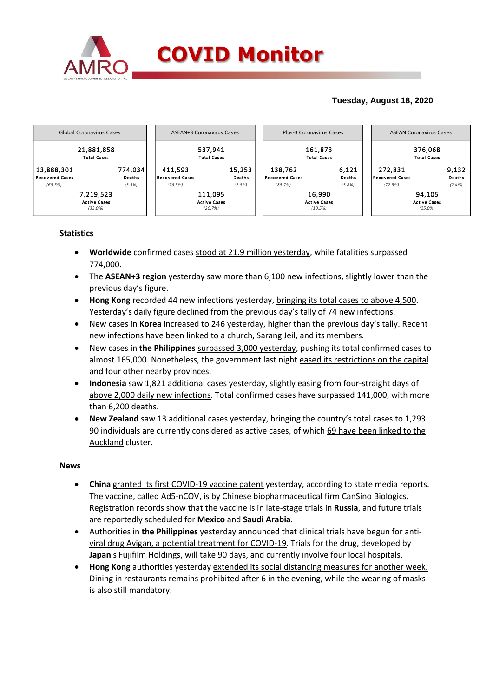

# **Tuesday, August 18, 2020**



## **Statistics**

- **Worldwide** confirmed cases stood at 21.9 million yesterday, while fatalities surpassed 774,000.
- The **ASEAN+3 region** yesterday saw more than 6,100 new infections, slightly lower than the previous day's figure.
- **Hong Kong** recorded 44 new infections yesterday, bringing its total cases to above 4,500. Yesterday's daily figure declined from the previous day's tally of 74 new infections.
- New cases in **Korea** increased to 246 yesterday, higher than the previous day's tally. Recent new infections have been linked to a church, Sarang Jeil, and its members.
- New cases in **the Philippines** surpassed 3,000 yesterday, pushing its total confirmed cases to almost 165,000. Nonetheless, the government last night eased its restrictions on the capital and four other nearby provinces.
- **Indonesia** saw 1,821 additional cases yesterday, slightly easing from four-straight days of above 2,000 daily new infections. Total confirmed cases have surpassed 141,000, with more than 6,200 deaths.
- **New Zealand** saw 13 additional cases yesterday, bringing the country's total cases to 1,293. 90 individuals are currently considered as active cases, of which 69 have been linked to the Auckland cluster.

### **News**

- **China** granted its first COVID-19 vaccine patent yesterday, according to state media reports. The vaccine, called Ad5-nCOV, is by Chinese biopharmaceutical firm CanSino Biologics. Registration records show that the vaccine is in late-stage trials in **Russia**, and future trials are reportedly scheduled for **Mexico** and **Saudi Arabia**.
- Authorities in **the Philippines** yesterday announced that clinical trials have begun for antiviral drug Avigan, a potential treatment for COVID-19. Trials for the drug, developed by **Japan**'s Fujifilm Holdings, will take 90 days, and currently involve four local hospitals.
- **Hong Kong** authorities yesterday extended its social distancing measures for another week. Dining in restaurants remains prohibited after 6 in the evening, while the wearing of masks is also still mandatory.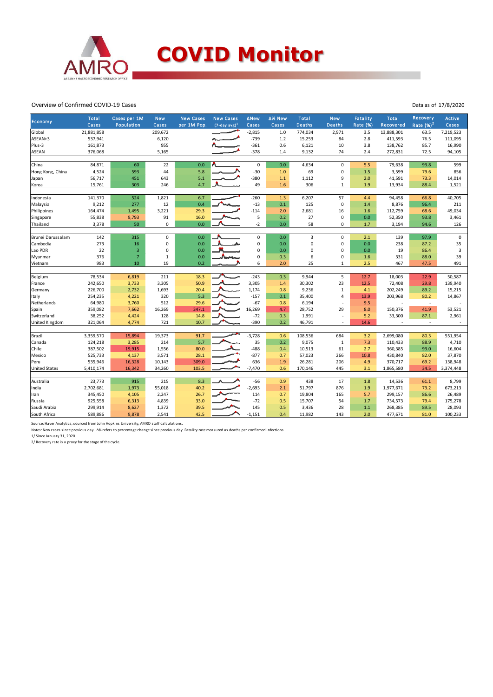

#### Overview of Confirmed COVID-19 Cases

| Economy              | Total      | Cases per 1M   | <b>New</b>  | <b>New Cases</b> | <b>New Cases</b> | ∆New        | ∆% New | <b>Total</b>  | <b>New</b>        | Fatality        | <b>Total</b>    | Recovery     | Active    |
|----------------------|------------|----------------|-------------|------------------|------------------|-------------|--------|---------------|-------------------|-----------------|-----------------|--------------|-----------|
|                      | Cases      | Population     | Cases       | per 1M Pop.      | $(7-day avg)^1$  | Cases       | Cases  | <b>Deaths</b> | <b>Deaths</b>     | <b>Rate (%)</b> | Recovered       | Rate $(%)2$  | Cases     |
| Global               | 21,881,858 |                | 209,672     |                  |                  | $-2,815$    | 1.0    | 774,034       | 2,971             | 3.5             | 13,888,301      | 63.5         | 7,219,523 |
| ASEAN+3              | 537,941    |                | 6,120       |                  |                  | $-739$      | 1.2    | 15,253        | 84                | 2.8             | 411,593         | 76.5         | 111,095   |
| Plus-3               | 161,873    |                | 955         |                  |                  | $-361$      | 0.6    | 6,121         | 10                | 3.8             | 138,762         | 85.7         | 16,990    |
| <b>ASEAN</b>         | 376,068    |                | 5,165       |                  |                  | $-378$      | 1.4    | 9,132         | 74                | 2.4             | 272,831         | 72.5         | 94,105    |
| China                | 84,871     | 60             |             | 0.0              |                  | 0           | 0.0    |               | $\mathbf 0$       | 5.5             |                 |              | 599       |
|                      | 4,524      | 593            | 22<br>44    | 5.8              |                  | $-30$       | 1.0    | 4,634<br>69   | 0                 | 1.5             | 79,638<br>3,599 | 93.8<br>79.6 | 856       |
| Hong Kong, China     |            |                |             |                  |                  | $-380$      |        |               |                   |                 |                 |              |           |
| Japan                | 56,717     | 451            | 643<br>246  | 5.1<br>4.7       |                  | 49          | $1.1$  | 1,112<br>306  | 9<br>$\mathbf{1}$ | 2.0             | 41,591          | 73.3         | 14,014    |
| Korea                | 15,761     | 303            |             |                  |                  |             | 1.6    |               |                   | 1.9             | 13,934          | 88.4         | 1,521     |
| Indonesia            | 141,370    | 524            | 1,821       | 6.7              |                  | $-260$      | 1.3    | 6,207         | 57                | 4.4             | 94,458          | 66.8         | 40,705    |
| Malaysia             | 9,212      | 277            | 12          | 0.4              |                  | $-13$       | 0.1    | 125           | $\pmb{0}$         | 1.4             | 8,876           | 96.4         | 211       |
| Philippines          | 164,474    | 1,495          | 3,221       | 29.3             |                  | $-114$      | 2.0    | 2,681         | 16                | 1.6             | 112,759         | 68.6         | 49,034    |
| Singapore            | 55,838     | 9,793          | 91          | 16.0             |                  | 5           | 0.2    | 27            | 0                 | 0.0             | 52,350          | 93.8         | 3,461     |
| Thailand             | 3,378      | 50             | $\mathsf 0$ | 0.0              |                  | $-2$        | 0.0    | 58            | 0                 | 1.7             | 3,194           | 94.6         | 126       |
|                      |            |                |             |                  |                  |             |        |               |                   |                 |                 |              |           |
| Brunei Darussalam    | 142        | 315            | 0           | 0.0              |                  | 0           | 0.0    | 3             | 0                 | 2.1             | 139             | 97.9         | 0         |
| Cambodia             | 273        | 16             | 0           | 0.0              |                  | $\mathsf 0$ | 0.0    | $\mathbf 0$   | 0                 | 0.0             | 238             | 87.2         | 35        |
| Lao PDR              | 22         | $\overline{3}$ | 0           | 0.0              |                  | 0           | 0.0    | 0             | 0                 | 0.0             | 19              | 86.4         | 3         |
| Myanmar              | 376        | $\overline{7}$ | 1           | 0.0              |                  | 0           | 0.3    | 6             | 0                 | 1.6             | 331             | 88.0         | 39        |
| Vietnam              | 983        | 10             | 19          | 0.2              |                  | 6           | 2.0    | 25            | 1                 | 2.5             | 467             | 47.5         | 491       |
|                      |            |                |             |                  |                  |             |        |               |                   |                 |                 |              |           |
| Belgium              | 78,534     | 6,819          | 211         | 18.3             |                  | $-243$      | 0.3    | 9,944         | 5                 | 12.7            | 18,003          | 22.9         | 50,587    |
| France               | 242,650    | 3,733          | 3,305       | 50.9             |                  | 3,305       | 1.4    | 30,302        | 23                | 12.5            | 72,408          | 29.8         | 139,940   |
| Germany              | 226,700    | 2,732          | 1,693       | 20.4             |                  | 1,174       | 0.8    | 9,236         | $\,1\,$           | 4.1             | 202,249         | 89.2         | 15,215    |
| Italy                | 254,235    | 4,221          | 320         | 5.3              |                  | $-157$      | 0.1    | 35,400        | 4                 | 13.9            | 203,968         | 80.2         | 14,867    |
| Netherlands          | 64,980     | 3,760          | 512         | 29.6             |                  | $-67$       | 0.8    | 6,194         | ÷,                | 9.5             |                 | ٠            |           |
| Spain                | 359,082    | 7,662          | 16,269      | 347.1            |                  | 16,269      | 4.7    | 28,752        | 29                | 8.0             | 150,376         | 41.9         | 53,521    |
| Switzerland          | 38,252     | 4,424          | 128         | 14.8             |                  | $-72$       | 0.3    | 1,991         | ł,                | 5.2             | 33,300          | 87.1         | 2,961     |
| United Kingdom       | 321,064    | 4,774          | 721         | 10.7             |                  | $-390$      | 0.2    | 46,791        | ÷.                | 14.6            | $\sim$          | $\sim$       |           |
|                      |            |                |             |                  |                  |             |        |               |                   |                 |                 |              |           |
| Brazil               | 3,359,570  | 15,894         | 19,373      | 91.7             |                  | $-3,728$    | 0.6    | 108,536       | 684               | 3.2             | 2,699,080       | 80.3         | 551,954   |
| Canada               | 124,218    | 3,285          | 214         | 5.7              |                  | 35          | 0.2    | 9,075         | $\mathbf{1}$      | 7.3             | 110,433         | 88.9         | 4,710     |
| Chile                | 387,502    | 19,915         | 1,556       | 80.0             |                  | $-488$      | 0.4    | 10,513        | 61                | 2.7             | 360,385         | 93.0         | 16,604    |
| Mexico               | 525,733    | 4,137          | 3,571       | 28.1             |                  | $-877$      | 0.7    | 57,023        | 266               | 10.8            | 430,840         | 82.0         | 37,870    |
| Peru                 | 535,946    | 16,328         | 10,143      | 309.0            |                  | 636         | 1.9    | 26,281        | 206               | 4.9             | 370,717         | 69.2         | 138,948   |
| <b>United States</b> | 5,410,174  | 16,342         | 34,260      | 103.5            |                  | $-7,470$    | 0.6    | 170,146       | 445               | 3.1             | 1,865,580       | 34.5         | 3,374,448 |
|                      |            |                |             |                  |                  |             |        |               |                   |                 |                 |              |           |
| Australia            | 23,773     | 915            | 215         | 8.3              |                  | $-56$       | 0.9    | 438           | 17                | 1.8             | 14,536          | 61.1         | 8,799     |
| India                | 2,702,681  | 1,973          | 55,018      | 40.2             |                  | $-2,693$    | 2.1    | 51,797        | 876               | 1.9             | 1,977,671       | 73.2         | 673,213   |
| Iran                 | 345,450    | 4,105          | 2,247       | 26.7             |                  | 114         | 0.7    | 19,804        | 165               | 5.7             | 299,157         | 86.6         | 26,489    |
| Russia               | 925,558    | 6,313          | 4,839       | 33.0             |                  | $-72$       | 0.5    | 15,707        | 54                | 1.7             | 734,573         | 79.4         | 175,278   |
| Saudi Arabia         | 299,914    | 8,627          | 1,372       | 39.5             |                  | 145         | 0.5    | 3,436         | 28                | 1.1             | 268,385         | 89.5         | 28,093    |
| South Africa         | 589,886    | 9,878          | 2,541       | 42.5             |                  | $-1,151$    | 0.4    | 11,982        | 143               | 2.0             | 477,671         | 81.0         | 100,233   |

Source: Haver Analytics, sourced from John Hopkins University; AMRO staff calculations.

Notes: New cases since previous day. Δ% refers to percentage change since previous day. Fatality rate measured as deaths per confirmed infections.

1/ Since January 31, 2020. 2/ Recovery rate is a proxy for the stage of the cycle.

Data as of 17/8/2020